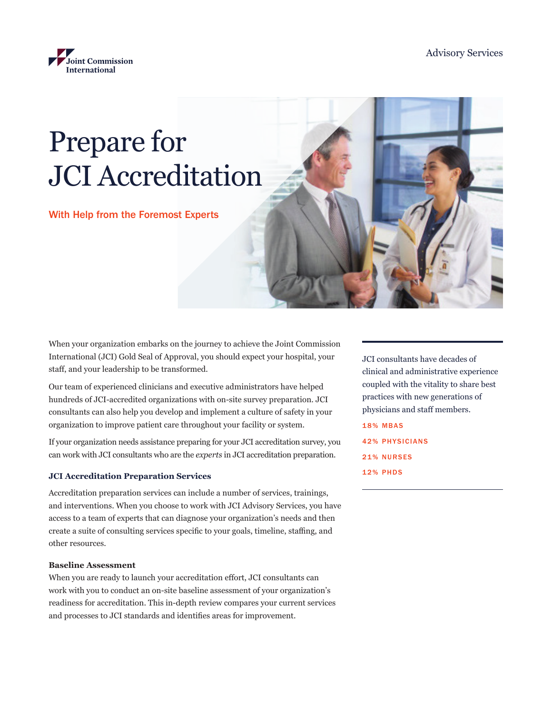

# Prepare for JCI Accreditation

With Help from the Foremost Experts

When your organization embarks on the journey to achieve the Joint Commission International (JCI) Gold Seal of Approval, you should expect your hospital, your staff, and your leadership to be transformed.

Our team of experienced clinicians and executive administrators have helped hundreds of JCI-accredited organizations with on-site survey preparation. JCI consultants can also help you develop and implement a culture of safety in your organization to improve patient care throughout your facility or system.

If your organization needs assistance preparing for your JCI accreditation survey, you can work with JCI consultants who are the *experts* in JCI accreditation preparation.

## **JCI Accreditation Preparation Services**

Accreditation preparation services can include a number of services, trainings, and interventions. When you choose to work with JCI Advisory Services, you have access to a team of experts that can diagnose your organization's needs and then create a suite of consulting services specific to your goals, timeline, staffing, and other resources.

## **Baseline Assessment**

When you are ready to launch your accreditation effort, JCI consultants can work with you to conduct an on-site baseline assessment of your organization's readiness for accreditation. This in-depth review compares your current services and processes to JCI standards and identifies areas for improvement.

JCI consultants have decades of clinical and administrative experience coupled with the vitality to share best practices with new generations of physicians and staff members. 18% MBAS

42% PHYSICIANS 21% NURSES 12% PHDS